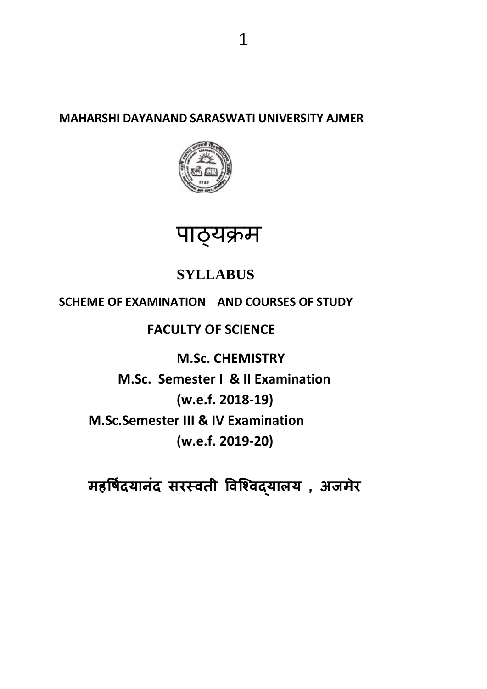**MAHARSHI DAYANAND SARASWATI UNIVERSITY AJMER**



# पाठ्यक्रम

# **SYLLABUS**

# **SCHEME OF EXAMINATION AND COURSES OF STUDY**

# **FACULTY OF SCIENCE**

**M.Sc. CHEMISTRY M.Sc. Semester I & II Examination (w.e.f. 2018-19) M.Sc.Semester III & IV Examination (w.e.f. 2019-20)**

**महर्षिदयानंद सरस्वती र्वश्ववद्याऱय , अजमेर**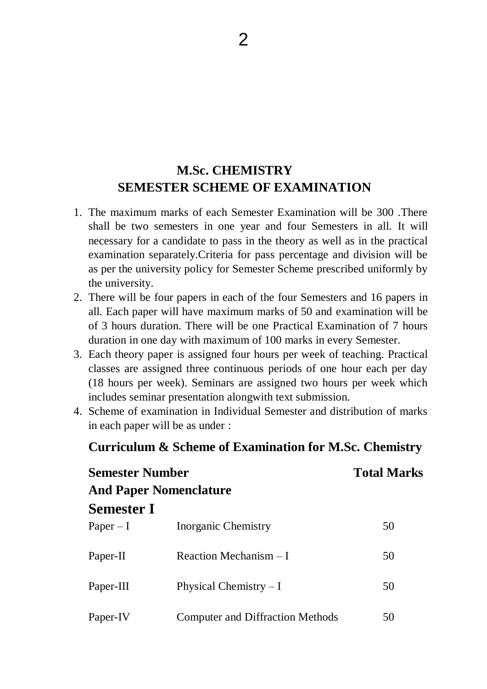# **M.Sc. CHEMISTRY SEMESTER SCHEME OF EXAMINATION**

- 1. The maximum marks of each Semester Examination will be 300 .There shall be two semesters in one year and four Semesters in all. It will necessary for a candidate to pass in the theory as well as in the practical examination separately.Criteria for pass percentage and division will be as per the university policy for Semester Scheme prescribed uniformly by the university.
- 2. There will be four papers in each of the four Semesters and 16 papers in all. Each paper will have maximum marks of 50 and examination will be of 3 hours duration. There will be one Practical Examination of 7 hours duration in one day with maximum of 100 marks in every Semester.
- 3. Each theory paper is assigned four hours per week of teaching. Practical classes are assigned three continuous periods of one hour each per day (18 hours per week). Seminars are assigned two hours per week which includes seminar presentation alongwith text submission.
- 4. Scheme of examination in Individual Semester and distribution of marks in each paper will be as under :

# **Curriculum & Scheme of Examination for M.Sc. Chemistry**

| <b>Semester Number</b><br><b>And Paper Nomenclature</b> |                                         | <b>Total Marks</b> |  |
|---------------------------------------------------------|-----------------------------------------|--------------------|--|
|                                                         |                                         |                    |  |
| <b>Semester I</b>                                       |                                         |                    |  |
| $Paper - I$                                             | Inorganic Chemistry                     | 50                 |  |
| Paper-II                                                | Reaction Mechanism $-I$                 | 50                 |  |
| Paper-III                                               | Physical Chemistry $-I$                 | 50                 |  |
| Paper-IV                                                | <b>Computer and Diffraction Methods</b> | 50                 |  |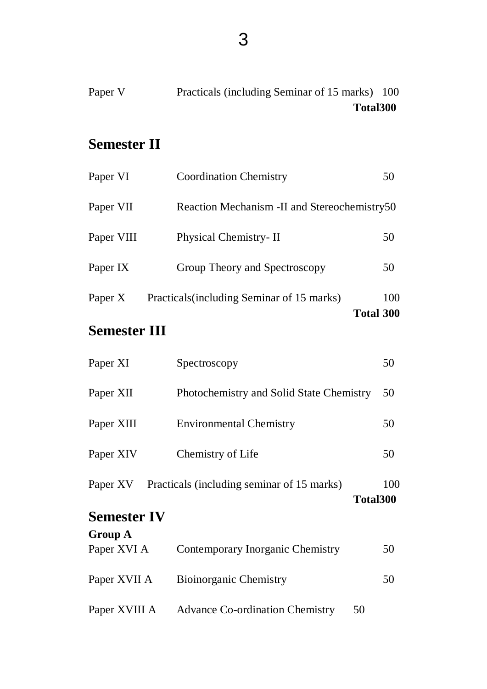| Paper V | Practicals (including Seminar of 15 marks) 100 |  |
|---------|------------------------------------------------|--|
|         | Total300                                       |  |

# **Semester II**

| Paper VI   | <b>Coordination Chemistry</b>                | 50               |
|------------|----------------------------------------------|------------------|
| Paper VII  | Reaction Mechanism -II and Stereochemistry50 |                  |
| Paper VIII | Physical Chemistry-II                        | 50               |
| Paper IX   | Group Theory and Spectroscopy                | 50               |
| Paper X    | Practicals (including Seminar of 15 marks)   | 100              |
|            |                                              | <b>Total 300</b> |

# **Semester III**

| Paper XI                       | Spectroscopy                                           | 50  |
|--------------------------------|--------------------------------------------------------|-----|
| Paper XII                      | Photochemistry and Solid State Chemistry               | 50  |
| Paper XIII                     | <b>Environmental Chemistry</b>                         | 50  |
| Paper XIV                      | Chemistry of Life                                      | 50  |
| Paper XV<br><b>Semester IV</b> | Practicals (including seminar of 15 marks)<br>Total300 | 100 |
| <b>Group A</b>                 |                                                        |     |
| Paper XVI A                    | Contemporary Inorganic Chemistry                       | 50  |
| Paper XVII A                   | <b>Bioinorganic Chemistry</b>                          | 50  |
|                                |                                                        |     |

Paper XVIII A Advance Co-ordination Chemistry 50

3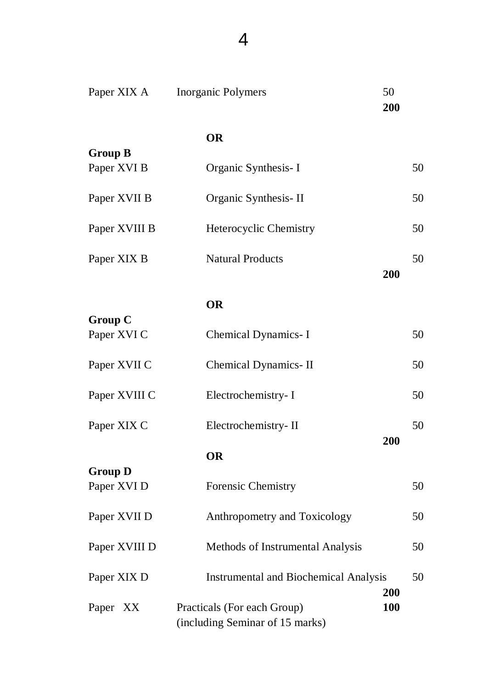| Paper XIX A                   | 50<br><b>Inorganic Polymers</b><br>200                                |            |
|-------------------------------|-----------------------------------------------------------------------|------------|
|                               | <b>OR</b>                                                             |            |
| <b>Group B</b><br>Paper XVI B | Organic Synthesis-I                                                   | 50         |
| Paper XVII B                  | Organic Synthesis-II                                                  | 50         |
| Paper XVIII B                 | <b>Heterocyclic Chemistry</b>                                         | 50         |
| Paper XIX B                   | <b>Natural Products</b><br>200                                        | 50         |
|                               | <b>OR</b>                                                             |            |
| <b>Group C</b><br>Paper XVI C | Chemical Dynamics- I                                                  | 50         |
| Paper XVII C                  | Chemical Dynamics-II                                                  | 50         |
| Paper XVIII C                 | Electrochemistry-I                                                    | 50         |
| Paper XIX C                   | Electrochemistry-II                                                   | 50         |
|                               | <b>200</b><br><b>OR</b>                                               |            |
| <b>Group D</b><br>Paper XVI D | <b>Forensic Chemistry</b>                                             | 50         |
| Paper XVII D                  | Anthropometry and Toxicology                                          | 50         |
| Paper XVIII D                 | Methods of Instrumental Analysis                                      | 50         |
| Paper XIX D                   | <b>Instrumental and Biochemical Analysis</b>                          | 50         |
| Paper XX                      | 200<br>Practicals (For each Group)<br>(including Seminar of 15 marks) | <b>100</b> |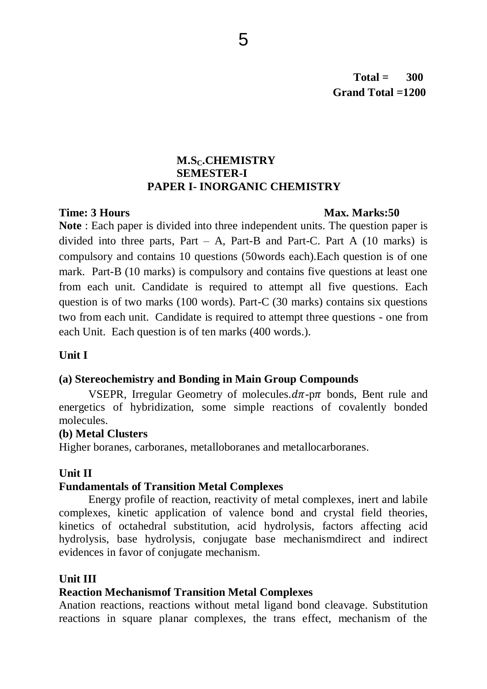# **M.SC.CHEMISTRY SEMESTER-I PAPER I- INORGANIC CHEMISTRY**

### **Time: 3 Hours Max. Marks:50**

**Note** : Each paper is divided into three independent units. The question paper is divided into three parts, Part – A, Part-B and Part-C. Part A  $(10 \text{ marks})$  is compulsory and contains 10 questions (50words each).Each question is of one mark. Part-B (10 marks) is compulsory and contains five questions at least one from each unit. Candidate is required to attempt all five questions. Each question is of two marks (100 words). Part-C (30 marks) contains six questions two from each unit. Candidate is required to attempt three questions - one from each Unit. Each question is of ten marks (400 words.).

# **Unit I**

# **(a) Stereochemistry and Bonding in Main Group Compounds**

VSEPR, Irregular Geometry of molecules. $d\pi$ -p $\pi$  bonds, Bent rule and energetics of hybridization, some simple reactions of covalently bonded molecules.

# **(b) Metal Clusters**

Higher boranes, carboranes, metalloboranes and metallocarboranes.

# **Unit II**

# **Fundamentals of Transition Metal Complexes**

Energy profile of reaction, reactivity of metal complexes, inert and labile complexes, kinetic application of valence bond and crystal field theories, kinetics of octahedral substitution, acid hydrolysis, factors affecting acid hydrolysis, base hydrolysis, conjugate base mechanismdirect and indirect evidences in favor of conjugate mechanism.

# **Unit III**

# **Reaction Mechanismof Transition Metal Complexes**

Anation reactions, reactions without metal ligand bond cleavage. Substitution reactions in square planar complexes, the trans effect, mechanism of the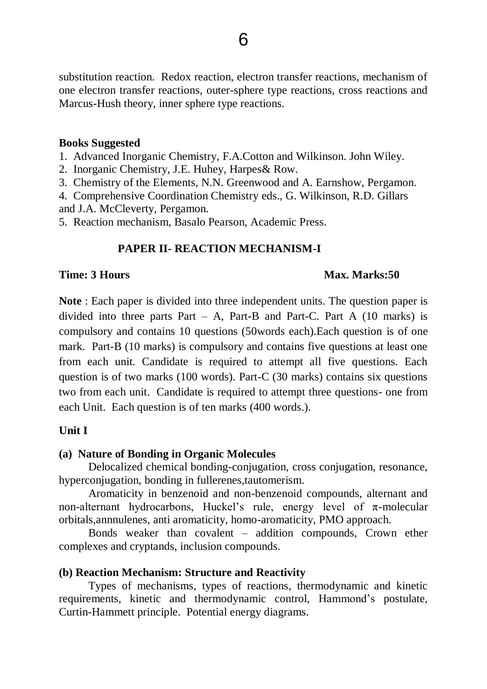substitution reaction. Redox reaction, electron transfer reactions, mechanism of one electron transfer reactions, outer-sphere type reactions, cross reactions and Marcus-Hush theory, inner sphere type reactions.

#### **Books Suggested**

1. Advanced Inorganic Chemistry, F.A.Cotton and Wilkinson. John Wiley.

2. Inorganic Chemistry, J.E. Huhey, Harpes& Row.

3. Chemistry of the Elements, N.N. Greenwood and A. Earnshow, Pergamon.

4. Comprehensive Coordination Chemistry eds., G. Wilkinson, R.D. Gillars and J.A. McCleverty, Pergamon.

5. Reaction mechanism, Basalo Pearson, Academic Press.

### **PAPER II- REACTION MECHANISM-I**

#### **Time: 3 Hours Max. Marks:50**

**Note** : Each paper is divided into three independent units. The question paper is divided into three parts Part – A, Part-B and Part-C. Part A  $(10 \text{ marks})$  is compulsory and contains 10 questions (50words each).Each question is of one mark. Part-B (10 marks) is compulsory and contains five questions at least one from each unit. Candidate is required to attempt all five questions. Each question is of two marks (100 words). Part-C (30 marks) contains six questions two from each unit. Candidate is required to attempt three questions- one from each Unit. Each question is of ten marks (400 words.).

#### **Unit I**

#### **(a) Nature of Bonding in Organic Molecules**

Delocalized chemical bonding-conjugation, cross conjugation, resonance, hyperconjugation, bonding in fullerenes,tautomerism.

Aromaticity in benzenoid and non-benzenoid compounds, alternant and non-alternant hydrocarbons, Huckel's rule, energy level of  $\pi$ -molecular orbitals,annnulenes, anti aromaticity, homo-aromaticity, PMO approach.

Bonds weaker than covalent – addition compounds, Crown ether complexes and cryptands, inclusion compounds.

#### **(b) Reaction Mechanism: Structure and Reactivity**

Types of mechanisms, types of reactions, thermodynamic and kinetic requirements, kinetic and thermodynamic control, Hammond's postulate, Curtin-Hammett principle. Potential energy diagrams.

6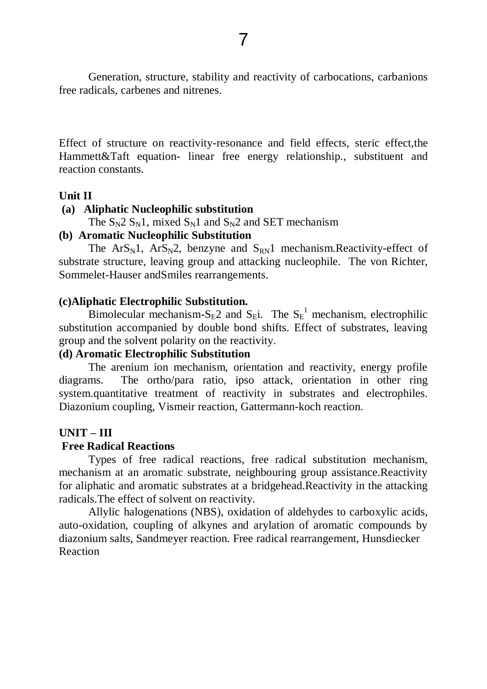Generation, structure, stability and reactivity of carbocations, carbanions free radicals, carbenes and nitrenes.

Effect of structure on reactivity-resonance and field effects, steric effect,the Hammett&Taft equation- linear free energy relationship., substituent and reaction constants.

#### **Unit II**

#### **(a) Aliphatic Nucleophilic substitution**

The  $S_N2 S_N1$ , mixed  $S_N1$  and  $S_N2$  and SET mechanism

### **(b) Aromatic Nucleophilic Substitution**

The  $ArS_N1$ ,  $ArS_N2$ , benzyne and  $S_{RN}1$  mechanism. Reactivity-effect of substrate structure, leaving group and attacking nucleophile. The von Richter, Sommelet-Hauser andSmiles rearrangements.

### **(c)Aliphatic Electrophilic Substitution.**

Bimolecular mechanism-S<sub>E</sub>2 and S<sub>E</sub>i. The S<sub>E</sub><sup>1</sup> mechanism, electrophilic substitution accompanied by double bond shifts. Effect of substrates, leaving group and the solvent polarity on the reactivity.

### **(d) Aromatic Electrophilic Substitution**

The arenium ion mechanism, orientation and reactivity, energy profile diagrams. The ortho/para ratio, ipso attack, orientation in other ring system.quantitative treatment of reactivity in substrates and electrophiles. Diazonium coupling, Vismeir reaction, Gattermann-koch reaction.

# **UNIT – III**

# **Free Radical Reactions**

Types of free radical reactions, free radical substitution mechanism, mechanism at an aromatic substrate, neighbouring group assistance.Reactivity for aliphatic and aromatic substrates at a bridgehead.Reactivity in the attacking radicals.The effect of solvent on reactivity.

Allylic halogenations (NBS), oxidation of aldehydes to carboxylic acids, auto-oxidation, coupling of alkynes and arylation of aromatic compounds by diazonium salts, Sandmeyer reaction. Free radical rearrangement, Hunsdiecker Reaction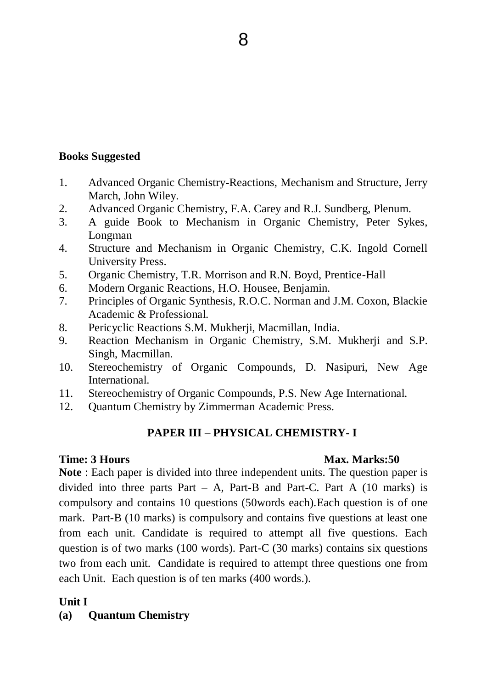### **Books Suggested**

- 1. Advanced Organic Chemistry-Reactions, Mechanism and Structure, Jerry March, John Wiley.
- 2. Advanced Organic Chemistry, F.A. Carey and R.J. Sundberg, Plenum.
- 3. A guide Book to Mechanism in Organic Chemistry, Peter Sykes, Longman
- 4. Structure and Mechanism in Organic Chemistry, C.K. Ingold Cornell University Press.
- 5. Organic Chemistry, T.R. Morrison and R.N. Boyd, Prentice-Hall
- 6. Modern Organic Reactions, H.O. Housee, Benjamin.
- 7. Principles of Organic Synthesis, R.O.C. Norman and J.M. Coxon, Blackie Academic & Professional.
- 8. Pericyclic Reactions S.M. Mukherji, Macmillan, India.
- 9. Reaction Mechanism in Organic Chemistry, S.M. Mukherji and S.P. Singh, Macmillan.
- 10. Stereochemistry of Organic Compounds, D. Nasipuri, New Age International.
- 11. Stereochemistry of Organic Compounds, P.S. New Age International.
- 12. Quantum Chemistry by Zimmerman Academic Press.

# **PAPER III – PHYSICAL CHEMISTRY- I**

#### **Time: 3 Hours Max. Marks: 50**

**Note** : Each paper is divided into three independent units. The question paper is divided into three parts Part – A, Part-B and Part-C. Part A  $(10 \text{ marks})$  is compulsory and contains 10 questions (50words each).Each question is of one mark. Part-B (10 marks) is compulsory and contains five questions at least one from each unit. Candidate is required to attempt all five questions. Each question is of two marks (100 words). Part-C (30 marks) contains six questions two from each unit. Candidate is required to attempt three questions one from each Unit. Each question is of ten marks (400 words.).

#### **Unit I**

# **(a) Quantum Chemistry**

8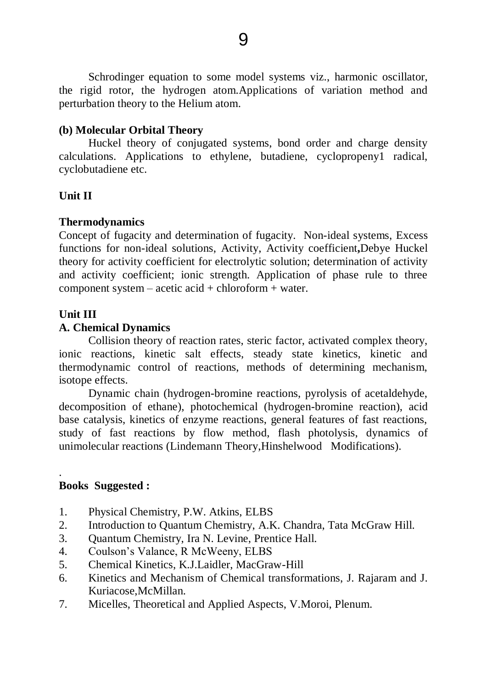Schrodinger equation to some model systems viz., harmonic oscillator, the rigid rotor, the hydrogen atom.Applications of variation method and perturbation theory to the Helium atom.

#### **(b) Molecular Orbital Theory**

Huckel theory of conjugated systems, bond order and charge density calculations. Applications to ethylene, butadiene, cyclopropeny1 radical, cyclobutadiene etc.

### **Unit II**

### **Thermodynamics**

Concept of fugacity and determination of fugacity. Non-ideal systems, Excess functions for non-ideal solutions, Activity, Activity coefficient**,**Debye Huckel theory for activity coefficient for electrolytic solution; determination of activity and activity coefficient; ionic strength. Application of phase rule to three component system – acetic acid + chloroform + water.

### **Unit III**

### **A. Chemical Dynamics**

Collision theory of reaction rates, steric factor, activated complex theory, ionic reactions, kinetic salt effects, steady state kinetics, kinetic and thermodynamic control of reactions, methods of determining mechanism, isotope effects.

Dynamic chain (hydrogen-bromine reactions, pyrolysis of acetaldehyde, decomposition of ethane), photochemical (hydrogen-bromine reaction), acid base catalysis, kinetics of enzyme reactions, general features of fast reactions, study of fast reactions by flow method, flash photolysis, dynamics of unimolecular reactions (Lindemann Theory,Hinshelwood Modifications).

### . **Books Suggested :**

- 1. Physical Chemistry, P.W. Atkins, ELBS
- 2. Introduction to Quantum Chemistry, A.K. Chandra, Tata McGraw Hill.
- 3. Quantum Chemistry, Ira N. Levine, Prentice Hall.
- 4. Coulson's Valance, R McWeeny, ELBS
- 5. Chemical Kinetics, K.J.Laidler, MacGraw-Hill
- 6. Kinetics and Mechanism of Chemical transformations, J. Rajaram and J. Kuriacose,McMillan.
- 7. Micelles, Theoretical and Applied Aspects, V.Moroi, Plenum.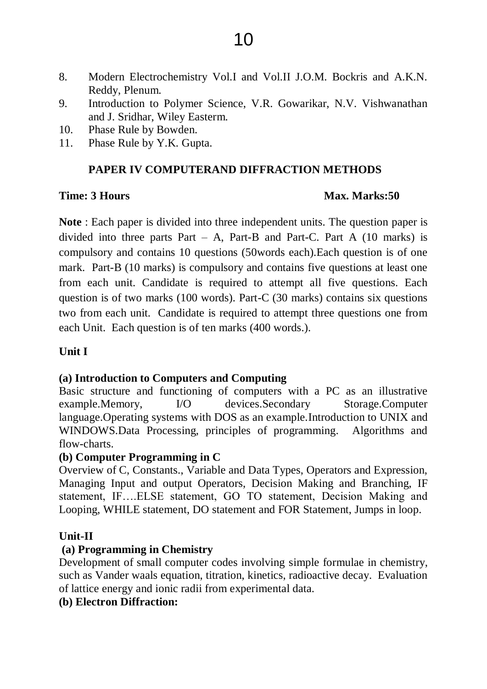- 8. Modern Electrochemistry Vol.I and Vol.II J.O.M. Bockris and A.K.N. Reddy, Plenum.
- 9. Introduction to Polymer Science, V.R. Gowarikar, N.V. Vishwanathan and J. Sridhar, Wiley Easterm.
- 10. Phase Rule by Bowden.
- 11. Phase Rule by Y.K. Gupta.

# **PAPER IV COMPUTERAND DIFFRACTION METHODS**

### **Time: 3 Hours Marks: 50**

**Note** : Each paper is divided into three independent units. The question paper is divided into three parts Part – A, Part-B and Part-C. Part A  $(10 \text{ marks})$  is compulsory and contains 10 questions (50words each).Each question is of one mark. Part-B (10 marks) is compulsory and contains five questions at least one from each unit. Candidate is required to attempt all five questions. Each question is of two marks (100 words). Part-C (30 marks) contains six questions two from each unit. Candidate is required to attempt three questions one from each Unit. Each question is of ten marks (400 words.).

# **Unit I**

# **(a) Introduction to Computers and Computing**

Basic structure and functioning of computers with a PC as an illustrative example.Memory, I/O devices.Secondary Storage.Computer language.Operating systems with DOS as an example.Introduction to UNIX and WINDOWS.Data Processing, principles of programming. Algorithms and flow-charts.

# **(b) Computer Programming in C**

Overview of C, Constants., Variable and Data Types, Operators and Expression, Managing Input and output Operators, Decision Making and Branching, IF statement, IF….ELSE statement, GO TO statement, Decision Making and Looping, WHILE statement, DO statement and FOR Statement, Jumps in loop.

# **Unit-II**

# **(a) Programming in Chemistry**

Development of small computer codes involving simple formulae in chemistry, such as Vander waals equation, titration, kinetics, radioactive decay. Evaluation of lattice energy and ionic radii from experimental data.

# **(b) Electron Diffraction:**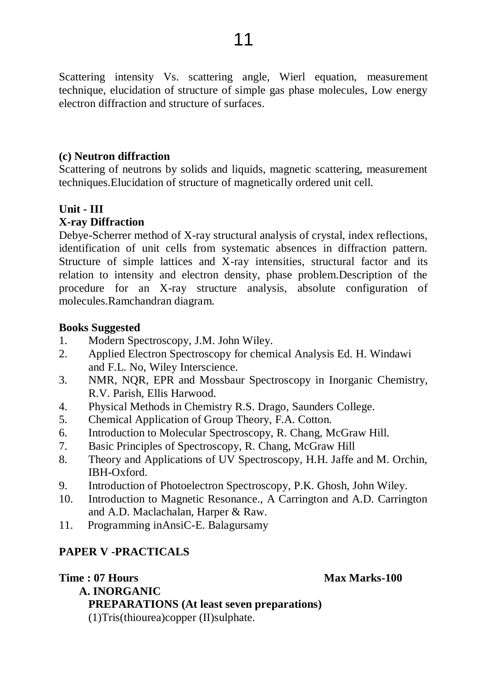Scattering intensity Vs. scattering angle, Wierl equation, measurement technique, elucidation of structure of simple gas phase molecules, Low energy electron diffraction and structure of surfaces.

#### **(c) Neutron diffraction**

Scattering of neutrons by solids and liquids, magnetic scattering, measurement techniques.Elucidation of structure of magnetically ordered unit cell.

# **Unit - III**

### **X-ray Diffraction**

Debye-Scherrer method of X-ray structural analysis of crystal, index reflections, identification of unit cells from systematic absences in diffraction pattern. Structure of simple lattices and X-ray intensities, structural factor and its relation to intensity and electron density, phase problem.Description of the procedure for an X-ray structure analysis, absolute configuration of molecules.Ramchandran diagram.

#### **Books Suggested**

- 1. Modern Spectroscopy, J.M. John Wiley.
- 2. Applied Electron Spectroscopy for chemical Analysis Ed. H. Windawi and F.L. No, Wiley Interscience.
- 3. NMR, NQR, EPR and Mossbaur Spectroscopy in Inorganic Chemistry, R.V. Parish, Ellis Harwood.
- 4. Physical Methods in Chemistry R.S. Drago, Saunders College.
- 5. Chemical Application of Group Theory, F.A. Cotton.
- 6. Introduction to Molecular Spectroscopy, R. Chang, McGraw Hill.
- 7. Basic Principles of Spectroscopy, R. Chang, McGraw Hill
- 8. Theory and Applications of UV Spectroscopy, H.H. Jaffe and M. Orchin, IBH-Oxford.
- 9. Introduction of Photoelectron Spectroscopy, P.K. Ghosh, John Wiley.
- 10. Introduction to Magnetic Resonance., A Carrington and A.D. Carrington and A.D. Maclachalan, Harper & Raw.
- 11. Programming inAnsiC-E. Balagursamy

# **PAPER V -PRACTICALS**

#### **Time : 07 Hours Max Marks-100**

 **A. INORGANIC PREPARATIONS (At least seven preparations)** (1)Tris(thiourea)copper (II)sulphate.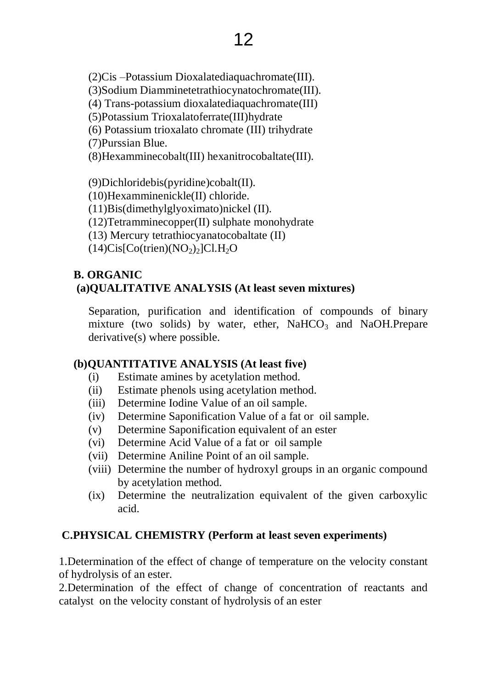(2)Cis –Potassium Dioxalatediaquachromate(III).

(3)Sodium Diamminetetrathiocynatochromate(III).

(4) Trans-potassium dioxalatediaquachromate(III)

(5)Potassium Trioxalatoferrate(III)hydrate

(6) Potassium trioxalato chromate (III) trihydrate

(7)Purssian Blue.

(8)Hexamminecobalt(III) hexanitrocobaltate(III).

(9)Dichloridebis(pyridine)cobalt(II).

(10)Hexamminenickle(II) chloride.

(11)Bis(dimethylglyoximato)nickel (II).

(12)Tetramminecopper(II) sulphate monohydrate

(13) Mercury tetrathiocyanatocobaltate (II)

 $(14)Cis[Co(trien)(NO<sub>2</sub>)<sub>2</sub>]Cl.H<sub>2</sub>O$ 

# **B. ORGANIC (a)QUALITATIVE ANALYSIS (At least seven mixtures)**

Separation, purification and identification of compounds of binary mixture (two solids) by water, ether,  $NaHCO<sub>3</sub>$  and NaOH.Prepare derivative(s) where possible.

# **(b)QUANTITATIVE ANALYSIS (At least five)**

- (i) Estimate amines by acetylation method.
- (ii) Estimate phenols using acetylation method.
- (iii) Determine Iodine Value of an oil sample.
- (iv) Determine Saponification Value of a fat or oil sample.
- (v) Determine Saponification equivalent of an ester
- (vi) Determine Acid Value of a fat or oil sample
- (vii) Determine Aniline Point of an oil sample.
- (viii) Determine the number of hydroxyl groups in an organic compound by acetylation method.
- (ix) Determine the neutralization equivalent of the given carboxylic acid.

# **C.PHYSICAL CHEMISTRY (Perform at least seven experiments)**

1.Determination of the effect of change of temperature on the velocity constant of hydrolysis of an ester.

2.Determination of the effect of change of concentration of reactants and catalyst on the velocity constant of hydrolysis of an ester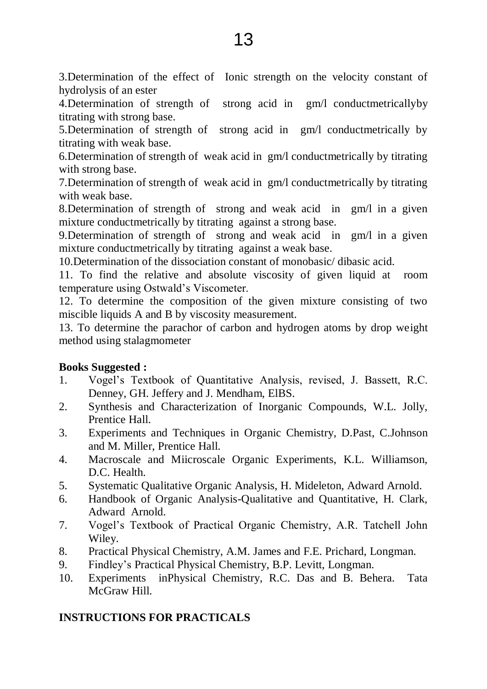3.Determination of the effect of Ionic strength on the velocity constant of hydrolysis of an ester

4.Determination of strength of strong acid in gm/l conductmetricallyby titrating with strong base.

5.Determination of strength of strong acid in gm/l conductmetrically by titrating with weak base.

6.Determination of strength of weak acid in gm/l conductmetrically by titrating with strong base.

7.Determination of strength of weak acid in gm/l conductmetrically by titrating with weak base.

8.Determination of strength of strong and weak acid in gm/l in a given mixture conductmetrically by titrating against a strong base.

9.Determination of strength of strong and weak acid in gm/l in a given mixture conductmetrically by titrating against a weak base.

10.Determination of the dissociation constant of monobasic/ dibasic acid.

11. To find the relative and absolute viscosity of given liquid at room temperature using Ostwald's Viscometer.

12. To determine the composition of the given mixture consisting of two miscible liquids A and B by viscosity measurement.

13. To determine the parachor of carbon and hydrogen atoms by drop weight method using stalagmometer

# **Books Suggested :**

- 1. Vogel's Textbook of Quantitative Analysis, revised, J. Bassett, R.C. Denney, GH. Jeffery and J. Mendham, ElBS.
- 2. Synthesis and Characterization of Inorganic Compounds, W.L. Jolly, Prentice Hall.
- 3. Experiments and Techniques in Organic Chemistry, D.Past, C.Johnson and M. Miller, Prentice Hall.
- 4. Macroscale and Miicroscale Organic Experiments, K.L. Williamson, D.C. Health.
- 5. Systematic Qualitative Organic Analysis, H. Mideleton, Adward Arnold.
- 6. Handbook of Organic Analysis-Qualitative and Quantitative, H. Clark, Adward Arnold.
- 7. Vogel's Textbook of Practical Organic Chemistry, A.R. Tatchell John Wiley.
- 8. Practical Physical Chemistry, A.M. James and F.E. Prichard, Longman.
- 9. Findley's Practical Physical Chemistry, B.P. Levitt, Longman.
- 10. Experiments inPhysical Chemistry, R.C. Das and B. Behera. Tata McGraw Hill

# **INSTRUCTIONS FOR PRACTICALS**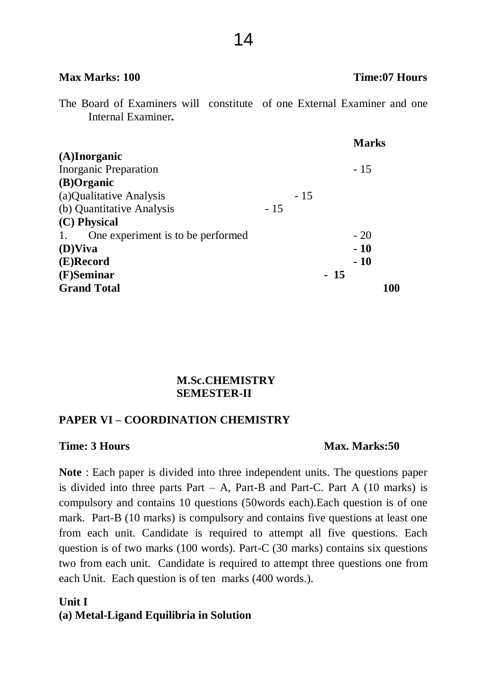|                                         |       |       |       | <b>Marks</b> |     |
|-----------------------------------------|-------|-------|-------|--------------|-----|
| $(A)$ Inorganic                         |       |       |       |              |     |
| <b>Inorganic Preparation</b>            |       |       |       | $-15$        |     |
| (B)Organic                              |       |       |       |              |     |
| (a) Qualitative Analysis                |       | $-15$ |       |              |     |
| (b) Quantitative Analysis               | $-15$ |       |       |              |     |
| (C) Physical                            |       |       |       |              |     |
| One experiment is to be performed<br>1. |       |       |       | $-20$        |     |
| $(D)$ Viva                              |       |       |       | $-10$        |     |
| (E)Record                               |       |       |       | $-10$        |     |
| (F)Seminar                              |       |       | $-15$ |              |     |
| <b>Grand Total</b>                      |       |       |       |              | 100 |

#### **Max Marks: 100 Time:07 Hours**

The Board of Examiners will constitute of one External Examiner and one Internal Examiner**.**

### **M.Sc.CHEMISTRY SEMESTER-II**

#### **PAPER VI – COORDINATION CHEMISTRY**

#### **Time: 3 Hours Max. Marks: 50**

**Note** : Each paper is divided into three independent units. The questions paper is divided into three parts Part – A, Part-B and Part-C. Part A  $(10 \text{ marks})$  is compulsory and contains 10 questions (50words each).Each question is of one mark. Part-B (10 marks) is compulsory and contains five questions at least one from each unit. Candidate is required to attempt all five questions. Each question is of two marks (100 words). Part-C (30 marks) contains six questions two from each unit. Candidate is required to attempt three questions one from each Unit. Each question is of ten marks (400 words.).

### **Unit I (a) Metal-Ligand Equilibria in Solution**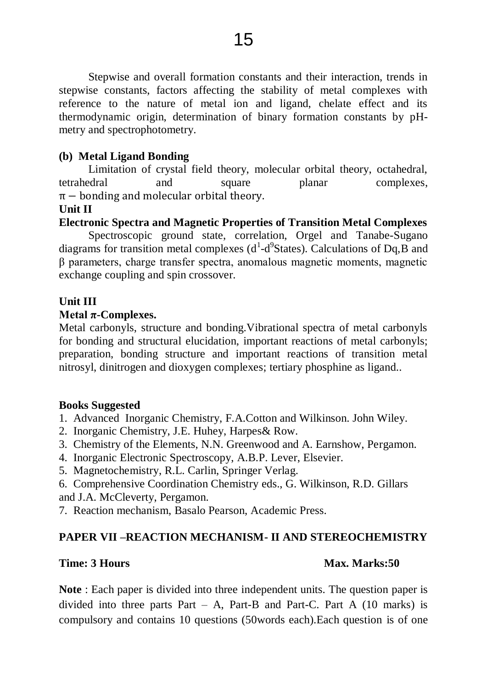Stepwise and overall formation constants and their interaction, trends in stepwise constants, factors affecting the stability of metal complexes with reference to the nature of metal ion and ligand, chelate effect and its thermodynamic origin, determination of binary formation constants by pHmetry and spectrophotometry.

# **(b) Metal Ligand Bonding**

Limitation of crystal field theory, molecular orbital theory, octahedral, tetrahedral and square planar complexes,  $\pi$  – bonding and molecular orbital theory.

# **Unit II**

# **Electronic Spectra and Magnetic Properties of Transition Metal Complexes**

Spectroscopic ground state, correlation, Orgel and Tanabe-Sugano diagrams for transition metal complexes  $(d^1-d^9S)$  Calculations of Dq, B and β parameters, charge transfer spectra, anomalous magnetic moments, magnetic exchange coupling and spin crossover.

# **Unit III**

### **Metal π-Complexes.**

Metal carbonyls, structure and bonding.Vibrational spectra of metal carbonyls for bonding and structural elucidation, important reactions of metal carbonyls; preparation, bonding structure and important reactions of transition metal nitrosyl, dinitrogen and dioxygen complexes; tertiary phosphine as ligand..

#### **Books Suggested**

- 1. Advanced Inorganic Chemistry, F.A.Cotton and Wilkinson. John Wiley.
- 2. Inorganic Chemistry, J.E. Huhey, Harpes& Row.
- 3. Chemistry of the Elements, N.N. Greenwood and A. Earnshow, Pergamon.
- 4. Inorganic Electronic Spectroscopy, A.B.P. Lever, Elsevier.
- 5. Magnetochemistry, R.L. Carlin, Springer Verlag.

6. Comprehensive Coordination Chemistry eds., G. Wilkinson, R.D. Gillars and J.A. McCleverty, Pergamon.

7. Reaction mechanism, Basalo Pearson, Academic Press.

# **PAPER VII –REACTION MECHANISM- II AND STEREOCHEMISTRY**

# **Time: 3 Hours Max. Marks: 50**

**Note** : Each paper is divided into three independent units. The question paper is divided into three parts Part – A, Part-B and Part-C. Part A  $(10 \text{ marks})$  is compulsory and contains 10 questions (50words each).Each question is of one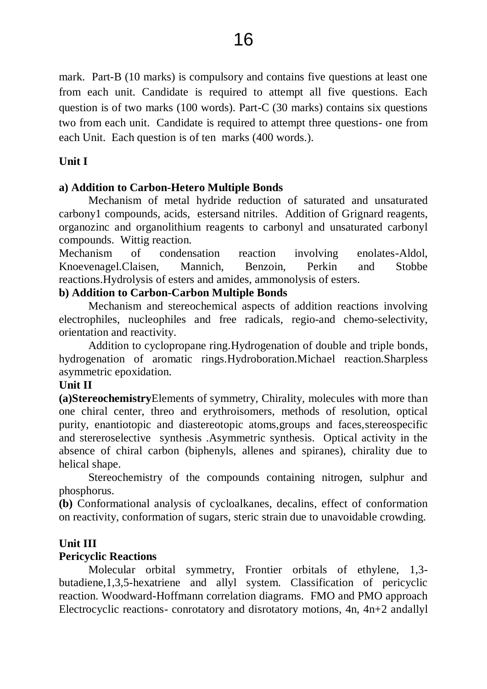mark. Part-B (10 marks) is compulsory and contains five questions at least one from each unit. Candidate is required to attempt all five questions. Each question is of two marks (100 words). Part-C (30 marks) contains six questions two from each unit. Candidate is required to attempt three questions- one from each Unit. Each question is of ten marks (400 words.).

#### **Unit I**

#### **a) Addition to Carbon-Hetero Multiple Bonds**

Mechanism of metal hydride reduction of saturated and unsaturated carbony1 compounds, acids, estersand nitriles. Addition of Grignard reagents, organozinc and organolithium reagents to carbonyl and unsaturated carbonyl compounds. Wittig reaction.

Mechanism of condensation reaction involving enolates-Aldol, Knoevenagel.Claisen, Mannich, Benzoin, Perkin and Stobbe reactions.Hydrolysis of esters and amides, ammonolysis of esters.

#### **b) Addition to Carbon-Carbon Multiple Bonds**

Mechanism and stereochemical aspects of addition reactions involving electrophiles, nucleophiles and free radicals, regio-and chemo-selectivity, orientation and reactivity.

Addition to cyclopropane ring.Hydrogenation of double and triple bonds, hydrogenation of aromatic rings.Hydroboration.Michael reaction.Sharpless asymmetric epoxidation.

#### **Unit II**

**(a)Stereochemistry**Elements of symmetry, Chirality, molecules with more than one chiral center, threo and erythroisomers, methods of resolution, optical purity, enantiotopic and diastereotopic atoms,groups and faces,stereospecific and stereroselective synthesis .Asymmetric synthesis. Optical activity in the absence of chiral carbon (biphenyls, allenes and spiranes), chirality due to helical shape.

Stereochemistry of the compounds containing nitrogen, sulphur and phosphorus.

**(b)** Conformational analysis of cycloalkanes, decalins, effect of conformation on reactivity, conformation of sugars, steric strain due to unavoidable crowding.

#### **Unit III**

#### **Pericyclic Reactions**

Molecular orbital symmetry, Frontier orbitals of ethylene, 1,3 butadiene,1,3,5-hexatriene and allyl system. Classification of pericyclic reaction. Woodward-Hoffmann correlation diagrams. FMO and PMO approach Electrocyclic reactions- conrotatory and disrotatory motions, 4n, 4n+2 andallyl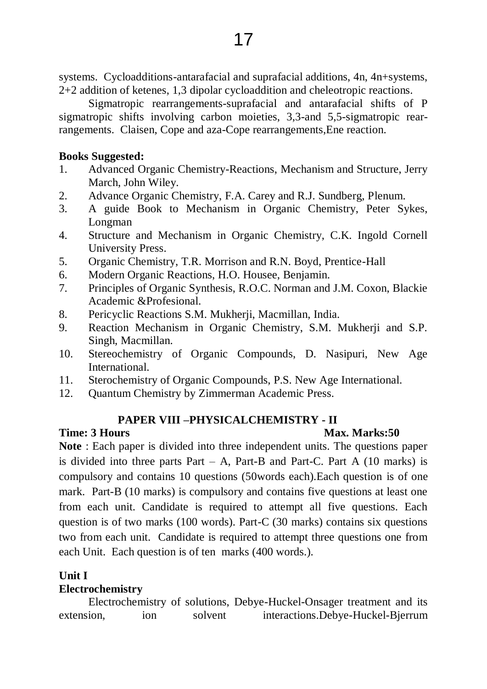systems. Cycloadditions-antarafacial and suprafacial additions, 4n, 4n+systems, 2+2 addition of ketenes, 1,3 dipolar cycloaddition and cheleotropic reactions.

Sigmatropic rearrangements-suprafacial and antarafacial shifts of P sigmatropic shifts involving carbon moieties, 3,3-and 5,5-sigmatropic rearrangements. Claisen, Cope and aza-Cope rearrangements,Ene reaction.

# **Books Suggested:**

- 1. Advanced Organic Chemistry-Reactions, Mechanism and Structure, Jerry March, John Wiley.
- 2. Advance Organic Chemistry, F.A. Carey and R.J. Sundberg, Plenum.
- 3. A guide Book to Mechanism in Organic Chemistry, Peter Sykes, Longman
- 4. Structure and Mechanism in Organic Chemistry, C.K. Ingold Cornell University Press.
- 5. Organic Chemistry, T.R. Morrison and R.N. Boyd, Prentice-Hall
- 6. Modern Organic Reactions, H.O. Housee, Benjamin.
- 7. Principles of Organic Synthesis, R.O.C. Norman and J.M. Coxon, Blackie Academic &Profesional.
- 8. Pericyclic Reactions S.M. Mukherji, Macmillan, India.
- 9. Reaction Mechanism in Organic Chemistry, S.M. Mukherji and S.P. Singh, Macmillan.
- 10. Stereochemistry of Organic Compounds, D. Nasipuri, New Age International.
- 11. Sterochemistry of Organic Compounds, P.S. New Age International.
- 12. Quantum Chemistry by Zimmerman Academic Press.

# **PAPER VIII –PHYSICALCHEMISTRY - II**

# **Time: 3 Hours Max. Marks: 50**

**Note** : Each paper is divided into three independent units. The questions paper is divided into three parts Part – A, Part-B and Part-C. Part A  $(10 \text{ marks})$  is compulsory and contains 10 questions (50words each).Each question is of one mark. Part-B (10 marks) is compulsory and contains five questions at least one from each unit. Candidate is required to attempt all five questions. Each question is of two marks (100 words). Part-C (30 marks) contains six questions two from each unit. Candidate is required to attempt three questions one from each Unit. Each question is of ten marks (400 words.).

# **Unit I**

# **Electrochemistry**

Electrochemistry of solutions, Debye-Huckel-Onsager treatment and its extension, ion solvent interactions.Debye-Huckel-Bjerrum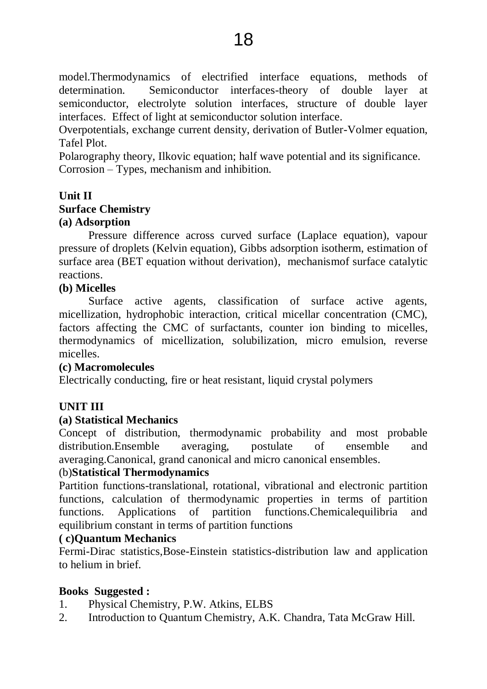model.Thermodynamics of electrified interface equations, methods of determination. Semiconductor interfaces-theory of double layer at semiconductor, electrolyte solution interfaces, structure of double layer interfaces. Effect of light at semiconductor solution interface.

Overpotentials, exchange current density, derivation of Butler-Volmer equation, Tafel Plot.

Polarography theory, Ilkovic equation; half wave potential and its significance. Corrosion – Types, mechanism and inhibition.

### **Unit II Surface Chemistry**

# **(a) Adsorption**

Pressure difference across curved surface (Laplace equation), vapour pressure of droplets (Kelvin equation), Gibbs adsorption isotherm, estimation of surface area (BET equation without derivation), mechanismof surface catalytic reactions.

# **(b) Micelles**

Surface active agents, classification of surface active agents, micellization, hydrophobic interaction, critical micellar concentration (CMC), factors affecting the CMC of surfactants, counter ion binding to micelles, thermodynamics of micellization, solubilization, micro emulsion, reverse micelles.

#### **(c) Macromolecules**

Electrically conducting, fire or heat resistant, liquid crystal polymers

# **UNIT III**

# **(a) Statistical Mechanics**

Concept of distribution, thermodynamic probability and most probable distribution.Ensemble averaging, postulate of ensemble and averaging.Canonical, grand canonical and micro canonical ensembles.

#### (b)**Statistical Thermodynamics**

Partition functions-translational, rotational, vibrational and electronic partition functions, calculation of thermodynamic properties in terms of partition functions. Applications of partition functions.Chemicalequilibria and equilibrium constant in terms of partition functions

#### **( c)Quantum Mechanics**

Fermi-Dirac statistics,Bose-Einstein statistics-distribution law and application to helium in brief.

# **Books Suggested :**

- 1. Physical Chemistry, P.W. Atkins, ELBS
- 2. Introduction to Quantum Chemistry, A.K. Chandra, Tata McGraw Hill.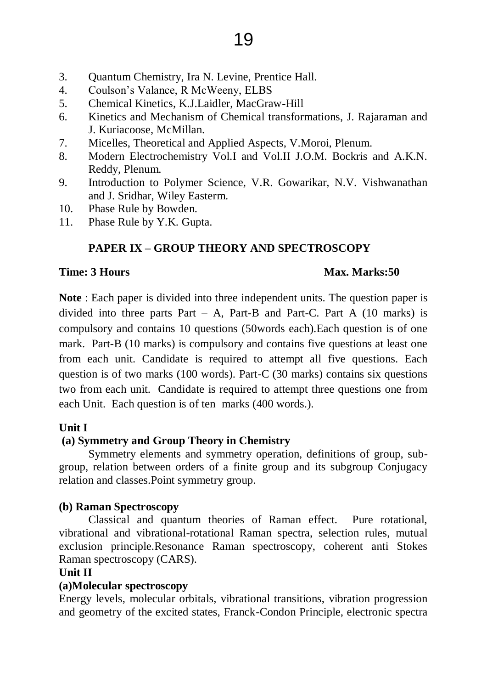- 3. Quantum Chemistry, Ira N. Levine, Prentice Hall.
- 4. Coulson's Valance, R McWeeny, ELBS
- 5. Chemical Kinetics, K.J.Laidler, MacGraw-Hill
- 6. Kinetics and Mechanism of Chemical transformations, J. Rajaraman and J. Kuriacoose, McMillan.
- 7. Micelles, Theoretical and Applied Aspects, V.Moroi, Plenum.
- 8. Modern Electrochemistry Vol.I and Vol.II J.O.M. Bockris and A.K.N. Reddy, Plenum.
- 9. Introduction to Polymer Science, V.R. Gowarikar, N.V. Vishwanathan and J. Sridhar, Wiley Easterm.
- 10. Phase Rule by Bowden.
- 11. Phase Rule by Y.K. Gupta.

# **PAPER IX – GROUP THEORY AND SPECTROSCOPY**

#### **Time: 3 Hours Max. Marks:50**

**Note** : Each paper is divided into three independent units. The question paper is divided into three parts Part – A, Part-B and Part-C. Part A  $(10 \text{ marks})$  is compulsory and contains 10 questions (50words each).Each question is of one mark. Part-B (10 marks) is compulsory and contains five questions at least one from each unit. Candidate is required to attempt all five questions. Each question is of two marks (100 words). Part-C (30 marks) contains six questions two from each unit. Candidate is required to attempt three questions one from each Unit. Each question is of ten marks (400 words.).

#### **Unit I**

#### **(a) Symmetry and Group Theory in Chemistry**

Symmetry elements and symmetry operation, definitions of group, subgroup, relation between orders of a finite group and its subgroup Conjugacy relation and classes.Point symmetry group.

#### **(b) Raman Spectroscopy**

Classical and quantum theories of Raman effect. Pure rotational, vibrational and vibrational-rotational Raman spectra, selection rules, mutual exclusion principle.Resonance Raman spectroscopy, coherent anti Stokes Raman spectroscopy (CARS).

#### **Unit II**

#### **(a)Molecular spectroscopy**

Energy levels, molecular orbitals, vibrational transitions, vibration progression and geometry of the excited states, Franck-Condon Principle, electronic spectra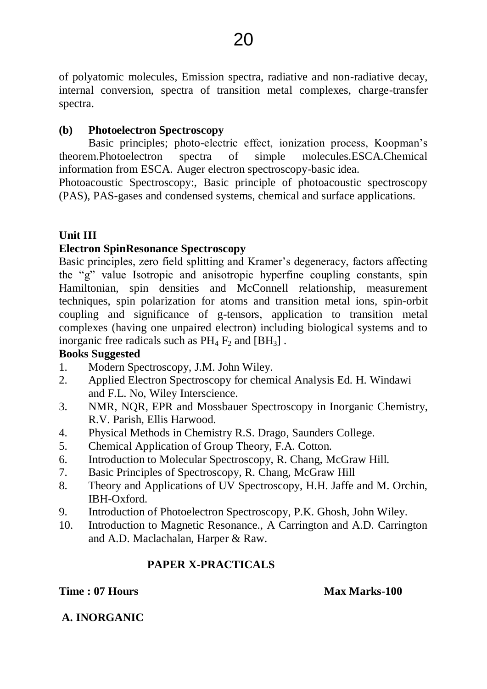of polyatomic molecules, Emission spectra, radiative and non-radiative decay, internal conversion, spectra of transition metal complexes, charge-transfer spectra.

# **(b) Photoelectron Spectroscopy**

Basic principles; photo-electric effect, ionization process, Koopman's theorem.Photoelectron spectra of simple molecules.ESCA.Chemical information from ESCA. Auger electron spectroscopy-basic idea.

Photoacoustic Spectroscopy:, Basic principle of photoacoustic spectroscopy (PAS), PAS-gases and condensed systems, chemical and surface applications.

# **Unit III**

# **Electron SpinResonance Spectroscopy**

Basic principles, zero field splitting and Kramer's degeneracy, factors affecting the "g" value Isotropic and anisotropic hyperfine coupling constants, spin Hamiltonian, spin densities and McConnell relationship, measurement techniques, spin polarization for atoms and transition metal ions, spin-orbit coupling and significance of g-tensors, application to transition metal complexes (having one unpaired electron) including biological systems and to inorganic free radicals such as  $PH_4$   $F_2$  and  $[BH_3]$ .

# **Books Suggested**

- 1. Modern Spectroscopy, J.M. John Wiley.
- 2. Applied Electron Spectroscopy for chemical Analysis Ed. H. Windawi and F.L. No, Wiley Interscience.
- 3. NMR, NQR, EPR and Mossbauer Spectroscopy in Inorganic Chemistry, R.V. Parish, Ellis Harwood.
- 4. Physical Methods in Chemistry R.S. Drago, Saunders College.
- 5. Chemical Application of Group Theory, F.A. Cotton.
- 6. Introduction to Molecular Spectroscopy, R. Chang, McGraw Hill.
- 7. Basic Principles of Spectroscopy, R. Chang, McGraw Hill
- 8. Theory and Applications of UV Spectroscopy, H.H. Jaffe and M. Orchin, IBH-Oxford.
- 9. Introduction of Photoelectron Spectroscopy, P.K. Ghosh, John Wiley.
- 10. Introduction to Magnetic Resonance., A Carrington and A.D. Carrington and A.D. Maclachalan, Harper & Raw.

# **PAPER X-PRACTICALS**

**Time : 07 Hours Max Marks-100** 

**A. INORGANIC**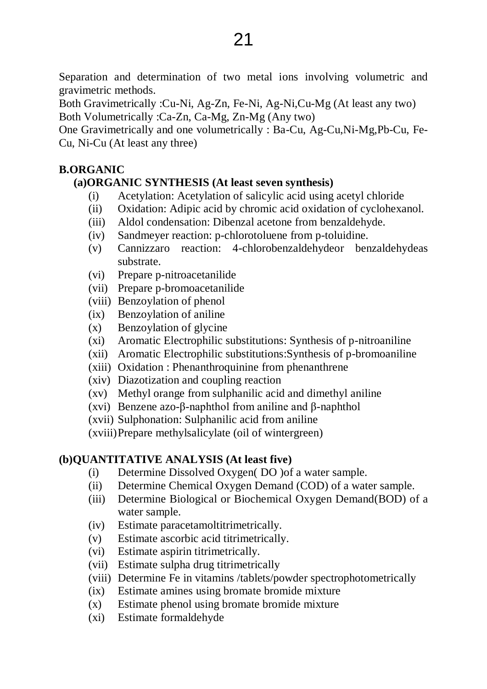Separation and determination of two metal ions involving volumetric and gravimetric methods.

Both Gravimetrically :Cu-Ni, Ag-Zn, Fe-Ni, Ag-Ni,Cu-Mg (At least any two) Both Volumetrically :Ca-Zn, Ca-Mg, Zn-Mg (Any two)

One Gravimetrically and one volumetrically : Ba-Cu, Ag-Cu,Ni-Mg,Pb-Cu, Fe-Cu, Ni-Cu (At least any three)

# **B.ORGANIC**

# **(a)ORGANIC SYNTHESIS (At least seven synthesis)**

- (i) Acetylation: Acetylation of salicylic acid using acetyl chloride
- (ii) Oxidation: Adipic acid by chromic acid oxidation of cyclohexanol.
- (iii) Aldol condensation: Dibenzal acetone from benzaldehyde.
- (iv) Sandmeyer reaction: p-chlorotoluene from p-toluidine.
- (v) Cannizzaro reaction: 4-chlorobenzaldehydeor benzaldehydeas substrate.
- (vi) Prepare p-nitroacetanilide
- (vii) Prepare p-bromoacetanilide
- (viii) Benzoylation of phenol
- (ix) Benzoylation of aniline
- (x) Benzoylation of glycine
- (xi) Aromatic Electrophilic substitutions: Synthesis of p-nitroaniline
- (xii) Aromatic Electrophilic substitutions:Synthesis of p-bromoaniline
- (xiii) Oxidation : Phenanthroquinine from phenanthrene
- (xiv) Diazotization and coupling reaction
- (xv) Methyl orange from sulphanilic acid and dimethyl aniline
- (xvi) Benzene azo-β-naphthol from aniline and β-naphthol
- (xvii) Sulphonation: Sulphanilic acid from aniline

(xviii)Prepare methylsalicylate (oil of wintergreen)

# **(b)QUANTITATIVE ANALYSIS (At least five)**

- (i) Determine Dissolved Oxygen( DO )of a water sample.
- (ii) Determine Chemical Oxygen Demand (COD) of a water sample.
- (iii) Determine Biological or Biochemical Oxygen Demand(BOD) of a water sample.
- (iv) Estimate paracetamoltitrimetrically.
- (v) Estimate ascorbic acid titrimetrically.
- (vi) Estimate aspirin titrimetrically.
- (vii) Estimate sulpha drug titrimetrically
- (viii) Determine Fe in vitamins /tablets/powder spectrophotometrically
- (ix) Estimate amines using bromate bromide mixture
- (x) Estimate phenol using bromate bromide mixture
- (xi) Estimate formaldehyde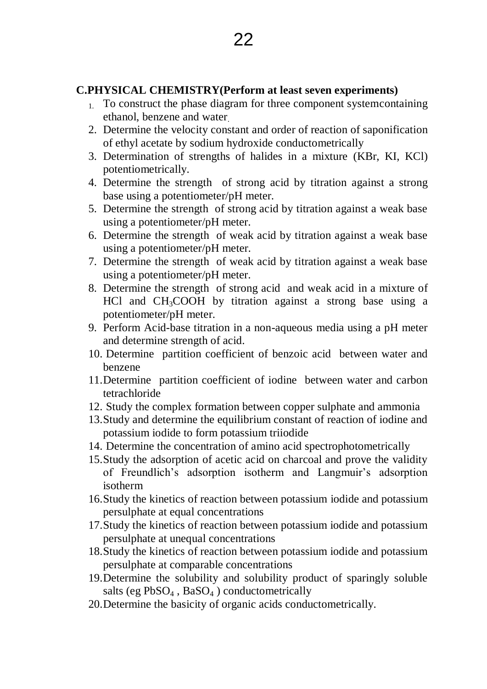### **C.PHYSICAL CHEMISTRY(Perform at least seven experiments)**

- 1. To construct the phase diagram for three component systemcontaining ethanol, benzene and water.
- 2. Determine the velocity constant and order of reaction of saponification of ethyl acetate by sodium hydroxide conductometrically
- 3. Determination of strengths of halides in a mixture (KBr, KI, KCl) potentiometrically.
- 4. Determine the strength of strong acid by titration against a strong base using a potentiometer/pH meter.
- 5. Determine the strength of strong acid by titration against a weak base using a potentiometer/pH meter.
- 6. Determine the strength of weak acid by titration against a weak base using a potentiometer/pH meter.
- 7. Determine the strength of weak acid by titration against a weak base using a potentiometer/pH meter.
- 8. Determine the strength of strong acid and weak acid in a mixture of HCl and  $CH<sub>3</sub>COOH$  by titration against a strong base using a potentiometer/pH meter.
- 9. Perform Acid-base titration in a non-aqueous media using a pH meter and determine strength of acid.
- 10. Determine partition coefficient of benzoic acid between water and benzene
- 11.Determine partition coefficient of iodine between water and carbon tetrachloride
- 12. Study the complex formation between copper sulphate and ammonia
- 13.Study and determine the equilibrium constant of reaction of iodine and potassium iodide to form potassium triiodide
- 14. Determine the concentration of amino acid spectrophotometrically
- 15.Study the adsorption of acetic acid on charcoal and prove the validity of Freundlich's adsorption isotherm and Langmuir's adsorption isotherm
- 16.Study the kinetics of reaction between potassium iodide and potassium persulphate at equal concentrations
- 17.Study the kinetics of reaction between potassium iodide and potassium persulphate at unequal concentrations
- 18.Study the kinetics of reaction between potassium iodide and potassium persulphate at comparable concentrations
- 19.Determine the solubility and solubility product of sparingly soluble salts (eg  $PbSO_4$ ,  $BaSO_4$ ) conductometrically
- 20.Determine the basicity of organic acids conductometrically.